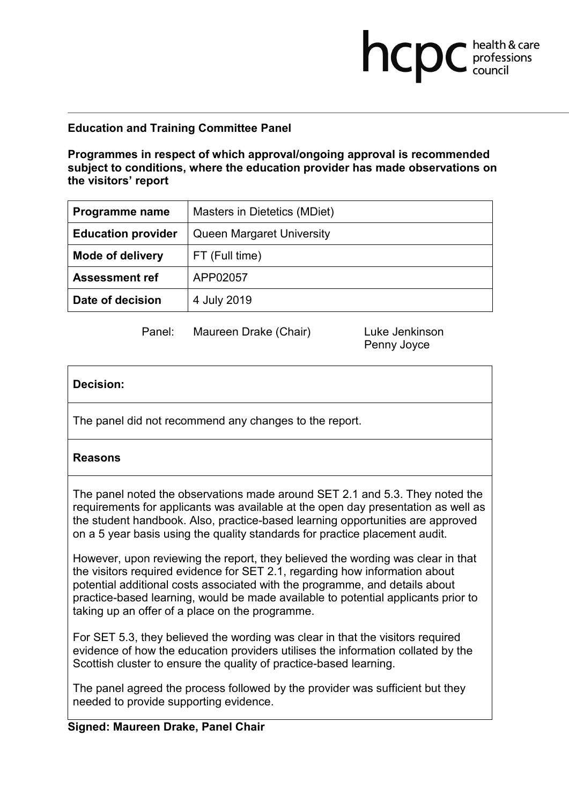## **Education and Training Committee Panel**

**Programmes in respect of which approval/ongoing approval is recommended subject to conditions, where the education provider has made observations on the visitors' report**

| Programme name            | Masters in Dietetics (MDiet)     |
|---------------------------|----------------------------------|
| <b>Education provider</b> | <b>Queen Margaret University</b> |
| <b>Mode of delivery</b>   | FT (Full time)                   |
| <b>Assessment ref</b>     | APP02057                         |
| Date of decision          | 4 July 2019                      |

Panel: Maureen Drake (Chair) Luke Jenkinson

Penny Joyce

**health & care** 

# **Decision:**

The panel did not recommend any changes to the report.

### **Reasons**

The panel noted the observations made around SET 2.1 and 5.3. They noted the requirements for applicants was available at the open day presentation as well as the student handbook. Also, practice-based learning opportunities are approved on a 5 year basis using the quality standards for practice placement audit.

However, upon reviewing the report, they believed the wording was clear in that the visitors required evidence for SET 2.1, regarding how information about potential additional costs associated with the programme, and details about practice-based learning, would be made available to potential applicants prior to taking up an offer of a place on the programme.

For SET 5.3, they believed the wording was clear in that the visitors required evidence of how the education providers utilises the information collated by the Scottish cluster to ensure the quality of practice-based learning.

The panel agreed the process followed by the provider was sufficient but they needed to provide supporting evidence.

# **Signed: Maureen Drake, Panel Chair**